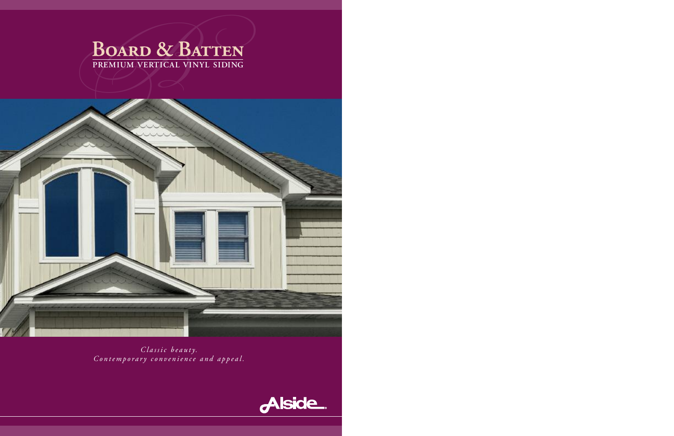# **BOARD & BATTEN**



*Cl a s s ic b e a u ty.* Contemporary convenience and appeal.

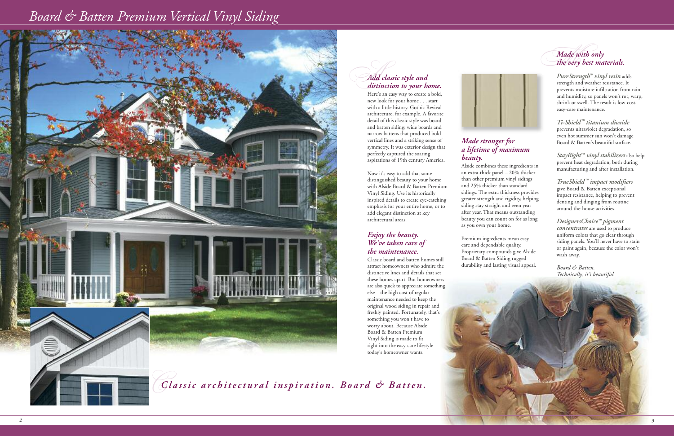# *Board & Batten Premium Vertical Vinyl Siding*



## *Made with only the very best materials.*

*PureStrength*™*vinyl resin* adds strength and weather resistance. It prevents moisture infiltration from rain and humidity, so panels won't rot, warp, shrink or swell. The result is low-cost, easy-care maintenance.

*Ti-Shield*™*titanium dioxide* prevents ultraviolet degradation, so even hot summer sun won't damage Board & Batten's beautiful surface.

*StayRight*™ *vinyl stabilizers* also help prevent heat degradation, both during manufacturing and after installation.

*TrueShield*™*impact modifiers* give Board & Batten exceptional impact resistance, helping to prevent denting and dinging from routine around-the-house activities.

*DesignersChoice*™*pigment concentrates* are used to produce uniform colors that go clear through siding panels. You'll never have to stain or paint again, because the color won't wash away.

# *Made w*<br> *Add classic style and*<br> *PureStrem*<br> *PureStrem*<br> *Strength* and *Add classic style and distinction to your home.*

*Board & Batten. Technically, it's beautiful.*



*Made stronger for*

# *a lifetime of maximum*

*beauty.*

Alside combines these ingredients in an extra-thick panel – 20% thicker than other premium vinyl sidings and 25% thicker than standard sidings. The extra thickness provides greater strength and rigidity, helping siding stay straight and even year after year. That means outstanding beauty you can count on for as long as you own your home.

Premium ingredients mean easy care and dependable quality. Proprietary compounds give Alside Board & Batten Siding rugged durability and lasting visual appeal.



Here's an easy way to create a bold, new look for your home . . . start with a little history. Gothic Revival architecture, for example. A favorite detail of this classic style was board and batten siding: wide boards and narrow battens that produced bold vertical lines and a striking sense of symmetry. It was exterior design that perfectly captured the soaring aspirations of 19th century America.

Now it's easy to add that same distinguished beauty to your home with Alside Board & Batten Premium Vinyl Siding. Use its historically inspired details to create eye-catching emphasis for your entire home, or to add elegant distinction at key architectural areas.

#### *Enjoy the beauty. We've taken care of the maintenance.*

Classic board and batten homes still attract homeowners who admire the distinctive lines and details that set these homes apart. But homeowners are also quick to appreciate something else – the high cost of regular maintenance needed to keep the original wood siding in repair and freshly painted. Fortunately, that's something you won't have to worry about. Because Alside Board & Batten Premium Vinyl Siding is made to fit right into the easy-care lifestyle today's homeowner wants.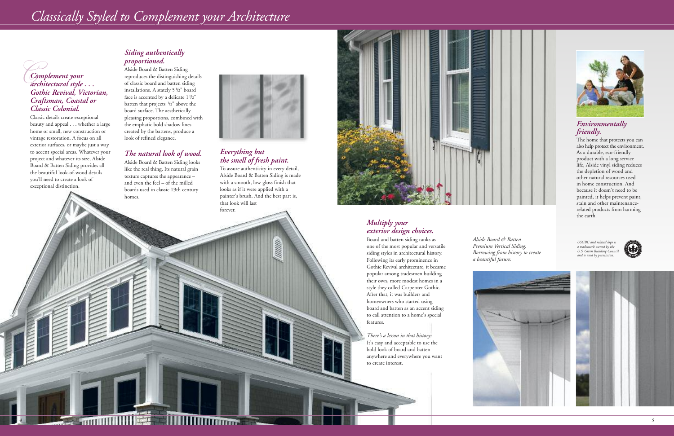*USGBC and related logo is a trademark owned by the U.S. Green Building Council and is used by permission.*



### *Environmentally friendly.*

The home that protects you can also help protect the environment. As a durable, eco-friendly product with a long service life, Alside vinyl siding reduces the depletion of wood and other natural resources used in home construction. And because it doesn't need to be painted, it helps prevent paint, stain and other maintenancerelated products from harming the earth.

#### <sup>C</sup><sub>C</sub> *Complement your architectural style . . . Gothic Revival, Victorian, Craftsman, Coastal or Classic Colonial.*

*4*

Classic details create exceptional beauty and appeal . . . whether a large home or small, new construction or vintage restoration. A focus on all exterior surfaces, or maybe just a way to accent special areas. Whatever your project and whatever its size, Alside Board & Batten Siding provides all the beautiful look-of-wood details you'll need to create a look of exceptional distinction.

## *Siding authentically proportioned.*

Alside Board & Batten Siding reproduces the distinguishing details of classic board and batten siding installations. A stately 51/2" board face is accented by a delicate  $1\frac{1}{2}$ " batten that projects 1/2" above the board surface. The aesthetically pleasing proportions, combined with the emphatic bold shadow lines created by the battens, produce a look of refined elegance.

## *The natural look of wood.*

Alside Board & Batten Siding looks like the real thing. Its natural grain texture captures the appearance – and even the feel – of the milled boards used in classic 19th century homes.



#### *Everything but the smell of fresh paint.*

To assure authenticity in every detail, Alside Board & Batten Siding is made with a smooth, low-gloss finish that looks as if it were applied with a painter's brush. And the best part is, that look will last forever.

anno



## *Multiply your exterior design choices.*

Board and batten siding ranks as one of the most popular and versatile siding styles in architectural history. Following its early prominence in Gothic Revival architecture, it became popular among tradesmen building their own, more modest homes in a style they called Carpenter Gothic. After that, it was builders and homeowners who started using board and batten as an accent siding to call attention to a home's special features.

*There's a lesson in that history:* It's easy and acceptable to use the bold look of board and batten anywhere and everywhere you want to create interest.



*Alside Board & Batten Premium Vertical Siding. Borrowing from history to create*



*a beautiful future.*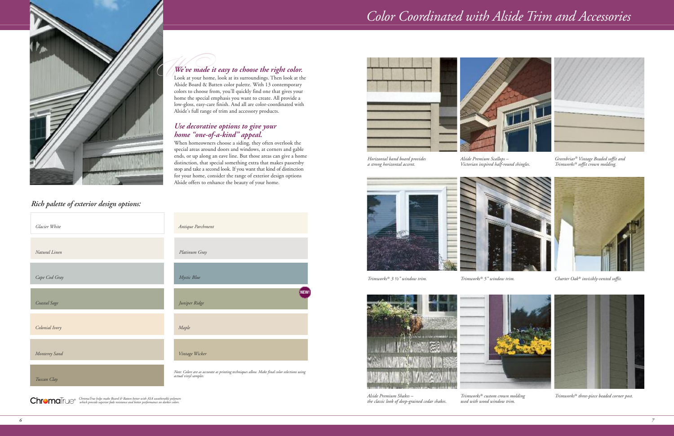# *Color Coordinated with Alside Trim and Accessories*





*Charter Oak® invisibly-vented soffit.*

*Alside Premium Shakes – the classic look of deep-grained cedar shakes.*

*Alside Premium Scallops – Victorian inspired half-round shingles.*



*Trimworks ® 3 ½" window trim.*





*Trimworks ® Trimworks three-piece beaded corner post. ® custom crown molding*

*used with wood window trim.*

*Trimworks ® 5" window trim.*





*Horizontal band board provides <sup>a</sup> strong horizontal accent.*

## *Rich palette of exterior design options:*

*Note: Colors are as accurate as printing techniques allow. Make final color selections using actual vinyl samples.*

| Glacier White  | Antique Parchment                                     |
|----------------|-------------------------------------------------------|
| Natural Linen  | Platinum Gray                                         |
| Cape Cod Gray  | Mystic Blue                                           |
| Coastal Sage   | Juniper Ridge                                         |
| Colonial Ivory | Maple                                                 |
| Monterey Sand  | Vintage Wicker                                        |
| Tuscan Clay    | Note: Colors are as accurate<br>actual vinyl samples. |

When homeowners choose a siding, they often overlook the special areas around doors and windows, at corners and gable ends, or up along an eave line. But those areas can give a home distinction, that special something extra that makes passersby stop and take a second look. If you want that kind of distinction for your home, consider the range of exterior design options Alside offers to enhance the beauty of your home.





# *WWe've made it easy to choose the right color.* Look at your home, look at its surroundings. Then look at the

Alside Board & Batten color palette. With 13 contemporary colors to choose from, you'll quickly find one that gives your home the special emphasis you want to create. All provide a low-gloss, easy-care finish. And all are color-coordinated with Alside's full range of trim and accessory products.

## *Use decorative options to give your home "one-of-a-kind" appeal.*



| Antique Parchment           |  |
|-----------------------------|--|
| Platinum Gray               |  |
| Mystic Blue                 |  |
| <b>NEW</b><br>Juniper Ridge |  |
| Maple                       |  |
| Vintage Wicker              |  |